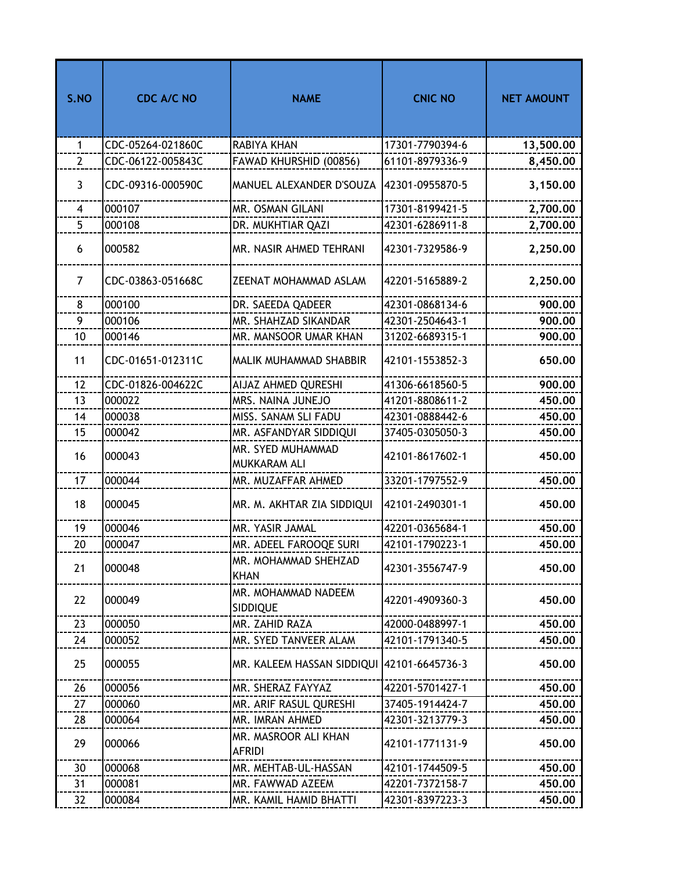| S.NO           | <b>CDC A/C NO</b> | <b>NAME</b>                            | <b>CNIC NO</b>  | <b>NET AMOUNT</b> |
|----------------|-------------------|----------------------------------------|-----------------|-------------------|
| $\mathbf{1}$   | CDC-05264-021860C | RABIYA KHAN                            | 17301-7790394-6 | 13,500.00         |
| $\overline{2}$ | CDC-06122-005843C | FAWAD KHURSHID (00856)                 | 61101-8979336-9 | 8,450.00          |
| $\overline{3}$ | CDC-09316-000590C | MANUEL ALEXANDER D'SOUZA               | 42301-0955870-5 | 3,150.00          |
| 4              | 000107            | MR. OSMAN GILANI                       | 17301-8199421-5 | 2,700.00          |
| 5              | 000108            | DR. MUKHTIAR QAZI                      | 42301-6286911-8 | 2,700.00          |
| 6              | 000582            | MR. NASIR AHMED TEHRANI                | 42301-7329586-9 | 2,250.00          |
| $\overline{7}$ | CDC-03863-051668C | ZEENAT MOHAMMAD ASLAM                  | 42201-5165889-2 | 2,250.00          |
| 8              | 000100            | DR. SAEEDA QADEER                      | 42301-0868134-6 | 900.00            |
| 9              | 000106            | MR. SHAHZAD SIKANDAR                   | 42301-2504643-1 | 900.00            |
| 10             | 000146            | MR. MANSOOR UMAR KHAN                  | 31202-6689315-1 | 900.00            |
| 11             | CDC-01651-012311C | MALIK MUHAMMAD SHABBIR                 | 42101-1553852-3 | 650.00            |
| 12             | CDC-01826-004622C | AIJAZ AHMED QURESHI                    | 41306-6618560-5 | 900.00            |
| 13             | 000022            | MRS. NAINA JUNEJO                      | 41201-8808611-2 | 450.00            |
| 14             | 000038            | MISS. SANAM SLI FADU                   | 42301-0888442-6 | 450.00            |
| 15             | 000042            | MR. ASFANDYAR SIDDIQUI                 | 37405-0305050-3 | 450.00            |
| 16             | 000043            | MR. SYED MUHAMMAD<br>MUKKARAM ALI      | 42101-8617602-1 | 450.00            |
| 17             | 000044            | MR. MUZAFFAR AHMED                     | 33201-1797552-9 | 450.00            |
| 18             | 000045            | MR. M. AKHTAR ZIA SIDDIQUI             | 42101-2490301-1 | 450.00            |
| 19             | 000046            | MR. YASIR JAMAL                        | 42201-0365684-1 | 450.00            |
| 20             | 000047            | MR. ADEEL FAROOQE SURI                 | 42101-1790223-1 | 450.00            |
| 21             | 000048            | MR. MOHAMMAD SHEHZAD<br><b>KHAN</b>    | 42301-3556747-9 | 450.00            |
| 22             | 000049            | MR. MOHAMMAD NADEEM<br><b>SIDDIQUE</b> | 42201-4909360-3 | 450.00            |
| 23             | 000050            | MR. ZAHID RAZA                         | 42000-0488997-1 | 450.00            |
| 24             | 000052            | MR. SYED TANVEER ALAM                  | 42101-1791340-5 | 450.00            |
| 25             | 000055            | MR. KALEEM HASSAN SIDDIQUI             | 42101-6645736-3 | 450.00            |
| 26             | 000056            | MR. SHERAZ FAYYAZ                      | 42201-5701427-1 | 450.00            |
| 27             | 000060            | MR. ARIF RASUL QURESHI                 | 37405-1914424-7 | 450.00            |
| 28             | 000064            | MR. IMRAN AHMED                        | 42301-3213779-3 | 450.00            |
| 29             | 000066            | MR. MASROOR ALI KHAN<br><b>AFRIDI</b>  | 42101-1771131-9 | 450.00            |
| 30             | 000068            | MR. MEHTAB-UL-HASSAN                   | 42101-1744509-5 | 450.00            |
| 31             | 000081            | MR. FAWWAD AZEEM                       | 42201-7372158-7 | 450.00            |
| 32             | 000084            | MR. KAMIL HAMID BHATTI                 | 42301-8397223-3 | 450.00            |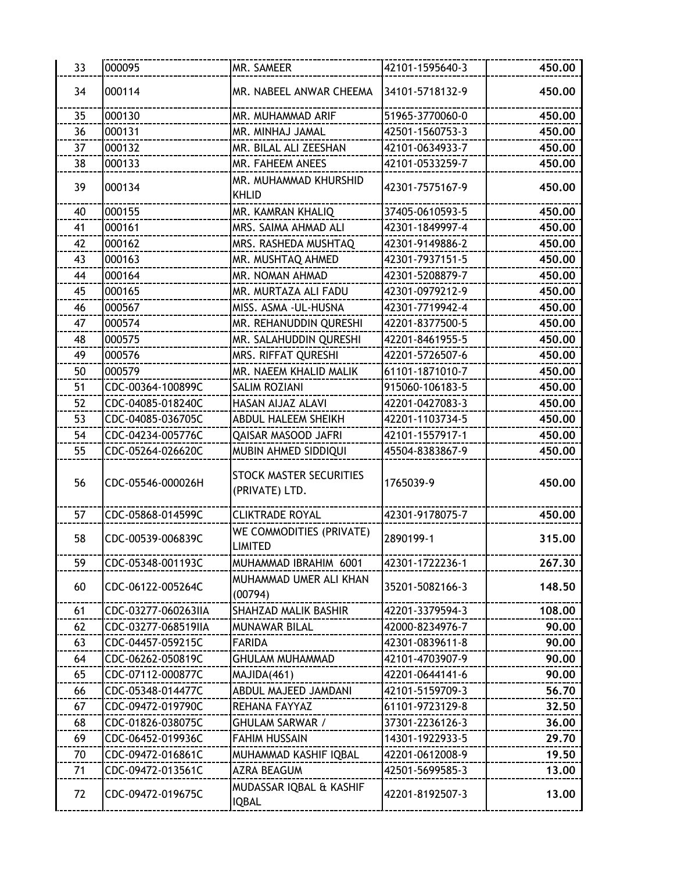| 33 | 000095              | MR. SAMEER                                       | 42101-1595640-3 | 450.00 |
|----|---------------------|--------------------------------------------------|-----------------|--------|
| 34 | 000114              | MR. NABEEL ANWAR CHEEMA                          | 34101-5718132-9 | 450.00 |
| 35 | 000130              | MR. MUHAMMAD ARIF                                | 51965-3770060-0 | 450.00 |
| 36 | 000131              | MR. MINHAJ JAMAL                                 | 42501-1560753-3 | 450.00 |
| 37 | 000132              | MR. BILAL ALI ZEESHAN                            | 42101-0634933-7 | 450.00 |
| 38 | 000133              | MR. FAHEEM ANEES                                 | 42101-0533259-7 | 450.00 |
| 39 | 000134              | MR. MUHAMMAD KHURSHID<br><b>KHLID</b>            | 42301-7575167-9 | 450.00 |
| 40 | 000155              | MR. KAMRAN KHALIQ                                | 37405-0610593-5 | 450.00 |
| 41 | 000161              | MRS. SAIMA AHMAD ALI                             | 42301-1849997-4 | 450.00 |
| 42 | 000162              | MRS. RASHEDA MUSHTAQ                             | 42301-9149886-2 | 450.00 |
| 43 | 000163              | MR. MUSHTAQ AHMED                                | 42301-7937151-5 | 450.00 |
| 44 | 000164              | MR. NOMAN AHMAD                                  | 42301-5208879-7 | 450.00 |
| 45 | 000165              | MR. MURTAZA ALI FADU                             | 42301-0979212-9 | 450.00 |
| 46 | 000567              | MISS. ASMA - UL-HUSNA                            | 42301-7719942-4 | 450.00 |
| 47 | 000574              | MR. REHANUDDIN QURESHI                           | 42201-8377500-5 | 450.00 |
| 48 | 000575              | MR. SALAHUDDIN QURESHI                           | 42201-8461955-5 | 450,00 |
| 49 | 000576              | MRS. RIFFAT QURESHI                              | 42201-5726507-6 | 450.00 |
| 50 | 000579              | MR. NAEEM KHALID MALIK                           | 61101-1871010-7 | 450,00 |
| 51 | CDC-00364-100899C   | <b>SALIM ROZIANI</b>                             | 915060-106183-5 | 450.00 |
| 52 | CDC-04085-018240C   | HASAN AIJAZ ALAVI                                | 42201-0427083-3 | 450.00 |
| 53 | CDC-04085-036705C   | ABDUL HALEEM SHEIKH                              | 42201-1103734-5 | 450.00 |
| 54 | CDC-04234-005776C   | QAISAR MASOOD JAFRI                              | 42101-1557917-1 | 450.00 |
| 55 | CDC-05264-026620C   | MUBIN AHMED SIDDIQUI                             | 45504-8383867-9 | 450.00 |
| 56 | CDC-05546-000026H   | <b>STOCK MASTER SECURITIES</b><br>(PRIVATE) LTD. | 1765039-9       | 450,00 |
| 57 | CDC-05868-014599C   | <b>CLIKTRADE ROYAL</b>                           | 42301-9178075-7 | 450.00 |
| 58 | CDC-00539-006839C   | WE COMMODITIES (PRIVATE)<br><b>LIMITED</b>       | 2890199-1       | 315,00 |
| 59 | CDC-05348-001193C   | MUHAMMAD IBRAHIM 6001                            | 42301-1722236-1 | 267.30 |
| 60 | CDC-06122-005264C   | MUHAMMAD UMER ALI KHAN<br>(00794)                | 35201-5082166-3 | 148.50 |
| 61 | CDC-03277-060263IIA | SHAHZAD MALIK BASHIR                             | 42201-3379594-3 | 108.00 |
| 62 | CDC-03277-068519IIA | MUNAWAR BILAL                                    | 42000-8234976-7 | 90.00  |
| 63 | CDC-04457-059215C   | <b>FARIDA</b>                                    | 42301-0839611-8 | 90.00  |
| 64 | CDC-06262-050819C   | <b>GHULAM MUHAMMAD</b>                           | 42101-4703907-9 | 90.00  |
| 65 | CDC-07112-000877C   | MAJIDA(461)                                      | 42201-0644141-6 | 90.00  |
| 66 | CDC-05348-014477C   | ABDUL MAJEED JAMDANI                             | 42101-5159709-3 | 56.70  |
| 67 | CDC-09472-019790C   | REHANA FAYYAZ                                    | 61101-9723129-8 | 32.50  |
| 68 | CDC-01826-038075C   | <b>GHULAM SARWAR /</b>                           | 37301-2236126-3 | 36.00  |
| 69 | CDC-06452-019936C   | <b>FAHIM HUSSAIN</b>                             | 14301-1922933-5 | 29.70  |
| 70 | CDC-09472-016861C   | MUHAMMAD KASHIF IQBAL                            | 42201-0612008-9 | 19.50  |
| 71 | CDC-09472-013561C   | AZRA BEAGUM                                      | 42501-5699585-3 | 13.00  |
| 72 | CDC-09472-019675C   | MUDASSAR IQBAL & KASHIF<br><b>IQBAL</b>          | 42201-8192507-3 | 13.00  |